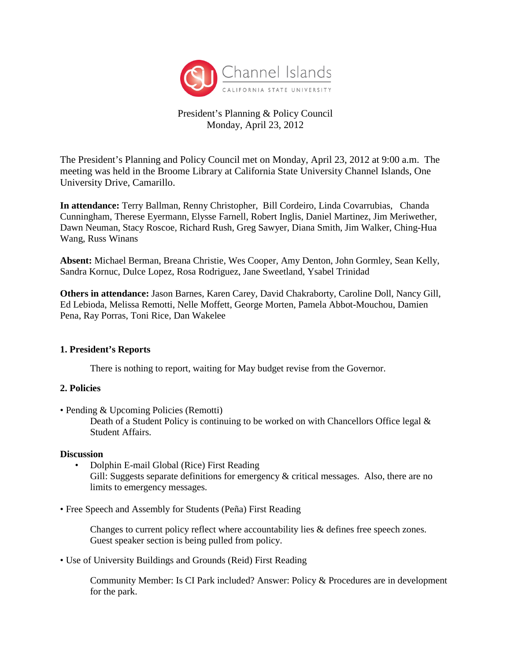

# President's Planning & Policy Council Monday, April 23, 2012

The President's Planning and Policy Council met on Monday, April 23, 2012 at 9:00 a.m. The meeting was held in the Broome Library at California State University Channel Islands, One University Drive, Camarillo.

**In attendance:** Terry Ballman, Renny Christopher, Bill Cordeiro, Linda Covarrubias, Chanda Cunningham, Therese Eyermann, Elysse Farnell, Robert Inglis, Daniel Martinez, Jim Meriwether, Dawn Neuman, Stacy Roscoe, Richard Rush, Greg Sawyer, Diana Smith, Jim Walker, Ching-Hua Wang, Russ Winans

**Absent:** Michael Berman, Breana Christie, Wes Cooper, Amy Denton, John Gormley, Sean Kelly, Sandra Kornuc, Dulce Lopez, Rosa Rodriguez, Jane Sweetland, Ysabel Trinidad

**Others in attendance:** Jason Barnes, Karen Carey, David Chakraborty, Caroline Doll, Nancy Gill, Ed Lebioda, Melissa Remotti, Nelle Moffett, George Morten, Pamela Abbot-Mouchou, Damien Pena, Ray Porras, Toni Rice, Dan Wakelee

#### **1. President's Reports**

There is nothing to report, waiting for May budget revise from the Governor.

#### **2. Policies**

• Pending & Upcoming Policies (Remotti)

Death of a Student Policy is continuing to be worked on with Chancellors Office legal & Student Affairs.

#### **Discussion**

- Dolphin E-mail Global (Rice) First Reading Gill: Suggests separate definitions for emergency & critical messages. Also, there are no limits to emergency messages.
- Free Speech and Assembly for Students (Peña) First Reading

Changes to current policy reflect where accountability lies & defines free speech zones. Guest speaker section is being pulled from policy.

• Use of University Buildings and Grounds (Reid) First Reading

Community Member: Is CI Park included? Answer: Policy & Procedures are in development for the park.